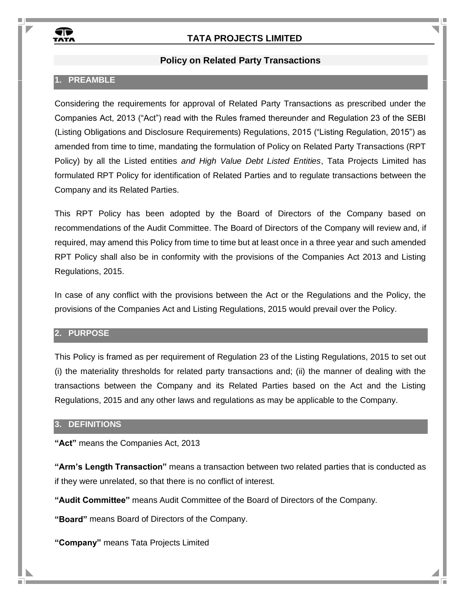

#### **Policy on Related Party Transactions**

# **1. PREAMBLE**

Considering the requirements for approval of Related Party Transactions as prescribed under the Companies Act, 2013 ("Act") read with the Rules framed thereunder and Regulation 23 of the SEBI (Listing Obligations and Disclosure Requirements) Regulations, 2015 ("Listing Regulation, 2015") as amended from time to time, mandating the formulation of Policy on Related Party Transactions (RPT Policy) by all the Listed entities *and High Value Debt Listed Entities*, Tata Projects Limited has formulated RPT Policy for identification of Related Parties and to regulate transactions between the Company and its Related Parties.

This RPT Policy has been adopted by the Board of Directors of the Company based on recommendations of the Audit Committee. The Board of Directors of the Company will review and, if required, may amend this Policy from time to time but at least once in a three year and such amended RPT Policy shall also be in conformity with the provisions of the Companies Act 2013 and Listing Regulations, 2015.

In case of any conflict with the provisions between the Act or the Regulations and the Policy, the provisions of the Companies Act and Listing Regulations, 2015 would prevail over the Policy.

#### **2. PURPOSE**

This Policy is framed as per requirement of Regulation 23 of the Listing Regulations, 2015 to set out (i) the materiality thresholds for related party transactions and; (ii) the manner of dealing with the transactions between the Company and its Related Parties based on the Act and the Listing Regulations, 2015 and any other laws and regulations as may be applicable to the Company.

#### **3. DEFINITIONS**

**"Act"** means the Companies Act, 2013

**"Arm's Length Transaction"** means a transaction between two related parties that is conducted as if they were unrelated, so that there is no conflict of interest.

**"Audit Committee"** means Audit Committee of the Board of Directors of the Company.

**"Board"** means Board of Directors of the Company.

**"Company"** means Tata Projects Limited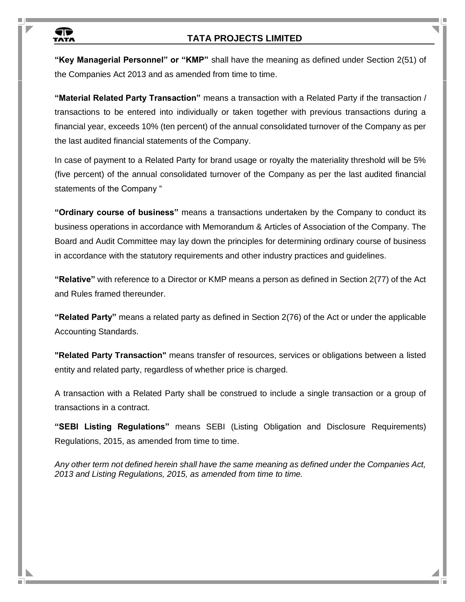

**"Key Managerial Personnel" or "KMP"** shall have the meaning as defined under Section 2(51) of the Companies Act 2013 and as amended from time to time.

**"Material Related Party Transaction"** means a transaction with a Related Party if the transaction / transactions to be entered into individually or taken together with previous transactions during a financial year, exceeds 10% (ten percent) of the annual consolidated turnover of the Company as per the last audited financial statements of the Company.

In case of payment to a Related Party for brand usage or royalty the materiality threshold will be 5% (five percent) of the annual consolidated turnover of the Company as per the last audited financial statements of the Company "

**"Ordinary course of business"** means a transactions undertaken by the Company to conduct its business operations in accordance with Memorandum & Articles of Association of the Company. The Board and Audit Committee may lay down the principles for determining ordinary course of business in accordance with the statutory requirements and other industry practices and guidelines.

**"Relative"** with reference to a Director or KMP means a person as defined in Section 2(77) of the Act and Rules framed thereunder.

**"Related Party"** means a related party as defined in Section 2(76) of the Act or under the applicable Accounting Standards.

**"Related Party Transaction"** means transfer of resources, services or obligations between a listed entity and related party, regardless of whether price is charged.

A transaction with a Related Party shall be construed to include a single transaction or a group of transactions in a contract.

**"SEBI Listing Regulations"** means SEBI (Listing Obligation and Disclosure Requirements) Regulations, 2015, as amended from time to time.

*Any other term not defined herein shall have the same meaning as defined under the Companies Act, 2013 and Listing Regulations, 2015, as amended from time to time.*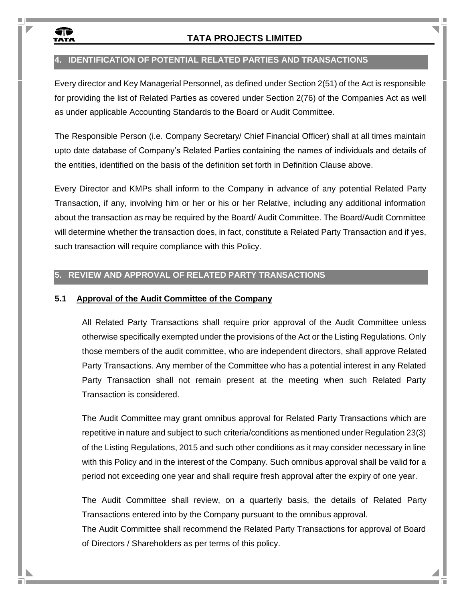

# **4. IDENTIFICATION OF POTENTIAL RELATED PARTIES AND TRANSACTIONS**

Every director and Key Managerial Personnel, as defined under Section 2(51) of the Act is responsible for providing the list of Related Parties as covered under Section 2(76) of the Companies Act as well as under applicable Accounting Standards to the Board or Audit Committee.

The Responsible Person (i.e. Company Secretary/ Chief Financial Officer) shall at all times maintain upto date database of Company's Related Parties containing the names of individuals and details of the entities, identified on the basis of the definition set forth in Definition Clause above.

Every Director and KMPs shall inform to the Company in advance of any potential Related Party Transaction, if any, involving him or her or his or her Relative, including any additional information about the transaction as may be required by the Board/ Audit Committee. The Board/Audit Committee will determine whether the transaction does, in fact, constitute a Related Party Transaction and if yes, such transaction will require compliance with this Policy.

#### **5. REVIEW AND APPROVAL OF RELATED PARTY TRANSACTIONS**

#### **5.1 Approval of the Audit Committee of the Company**

All Related Party Transactions shall require prior approval of the Audit Committee unless otherwise specifically exempted under the provisions of the Act or the Listing Regulations. Only those members of the audit committee, who are independent directors, shall approve Related Party Transactions. Any member of the Committee who has a potential interest in any Related Party Transaction shall not remain present at the meeting when such Related Party Transaction is considered.

The Audit Committee may grant omnibus approval for Related Party Transactions which are repetitive in nature and subject to such criteria/conditions as mentioned under Regulation 23(3) of the Listing Regulations, 2015 and such other conditions as it may consider necessary in line with this Policy and in the interest of the Company. Such omnibus approval shall be valid for a period not exceeding one year and shall require fresh approval after the expiry of one year.

The Audit Committee shall review, on a quarterly basis, the details of Related Party Transactions entered into by the Company pursuant to the omnibus approval.

The Audit Committee shall recommend the Related Party Transactions for approval of Board of Directors / Shareholders as per terms of this policy.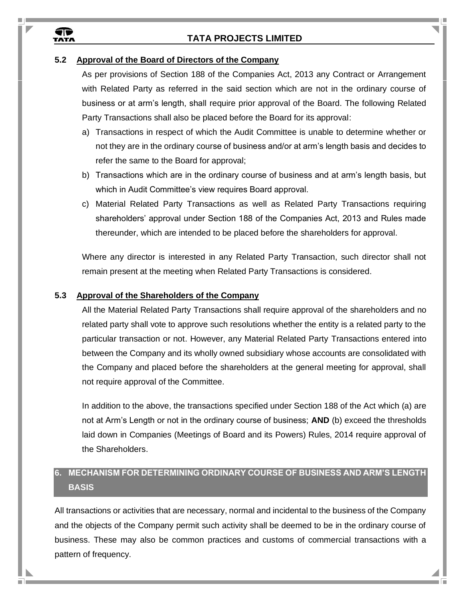#### **5.2 Approval of the Board of Directors of the Company**

¶ि<br>™^™

As per provisions of Section 188 of the Companies Act, 2013 any Contract or Arrangement with Related Party as referred in the said section which are not in the ordinary course of business or at arm's length, shall require prior approval of the Board. The following Related Party Transactions shall also be placed before the Board for its approval:

- a) Transactions in respect of which the Audit Committee is unable to determine whether or not they are in the ordinary course of business and/or at arm's length basis and decides to refer the same to the Board for approval;
- b) Transactions which are in the ordinary course of business and at arm's length basis, but which in Audit Committee's view requires Board approval.
- c) Material Related Party Transactions as well as Related Party Transactions requiring shareholders' approval under Section 188 of the Companies Act, 2013 and Rules made thereunder, which are intended to be placed before the shareholders for approval.

Where any director is interested in any Related Party Transaction, such director shall not remain present at the meeting when Related Party Transactions is considered.

#### **5.3 Approval of the Shareholders of the Company**

All the Material Related Party Transactions shall require approval of the shareholders and no related party shall vote to approve such resolutions whether the entity is a related party to the particular transaction or not. However, any Material Related Party Transactions entered into between the Company and its wholly owned subsidiary whose accounts are consolidated with the Company and placed before the shareholders at the general meeting for approval, shall not require approval of the Committee.

In addition to the above, the transactions specified under Section 188 of the Act which (a) are not at Arm's Length or not in the ordinary course of business; **AND** (b) exceed the thresholds laid down in Companies (Meetings of Board and its Powers) Rules, 2014 require approval of the Shareholders.

# **6. MECHANISM FOR DETERMINING ORDINARY COURSE OF BUSINESS AND ARM'S LENGTH BASIS**

All transactions or activities that are necessary, normal and incidental to the business of the Company and the objects of the Company permit such activity shall be deemed to be in the ordinary course of business. These may also be common practices and customs of commercial transactions with a pattern of frequency.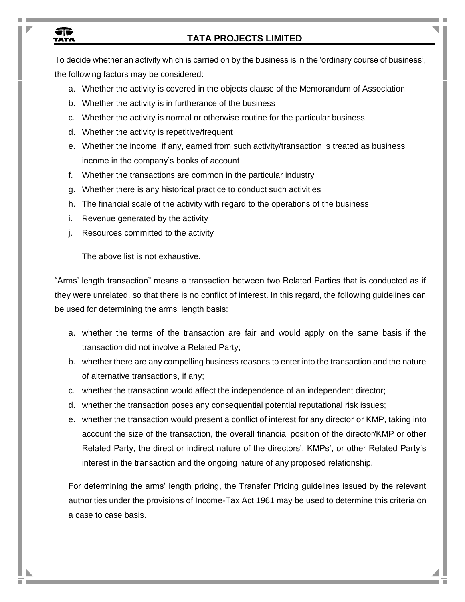# **TR**<br>TATA

# **TATA PROJECTS LIMITED**

To decide whether an activity which is carried on by the business is in the 'ordinary course of business', the following factors may be considered:

- a. Whether the activity is covered in the objects clause of the Memorandum of Association
- b. Whether the activity is in furtherance of the business
- c. Whether the activity is normal or otherwise routine for the particular business
- d. Whether the activity is repetitive/frequent
- e. Whether the income, if any, earned from such activity/transaction is treated as business income in the company's books of account
- f. Whether the transactions are common in the particular industry
- g. Whether there is any historical practice to conduct such activities
- h. The financial scale of the activity with regard to the operations of the business
- i. Revenue generated by the activity
- j. Resources committed to the activity

The above list is not exhaustive.

"Arms' length transaction" means a transaction between two Related Parties that is conducted as if they were unrelated, so that there is no conflict of interest. In this regard, the following guidelines can be used for determining the arms' length basis:

- a. whether the terms of the transaction are fair and would apply on the same basis if the transaction did not involve a Related Party;
- b. whether there are any compelling business reasons to enter into the transaction and the nature of alternative transactions, if any;
- c. whether the transaction would affect the independence of an independent director;
- d. whether the transaction poses any consequential potential reputational risk issues;
- e. whether the transaction would present a conflict of interest for any director or KMP, taking into account the size of the transaction, the overall financial position of the director/KMP or other Related Party, the direct or indirect nature of the directors', KMPs', or other Related Party's interest in the transaction and the ongoing nature of any proposed relationship.

For determining the arms' length pricing, the Transfer Pricing guidelines issued by the relevant authorities under the provisions of Income-Tax Act 1961 may be used to determine this criteria on a case to case basis.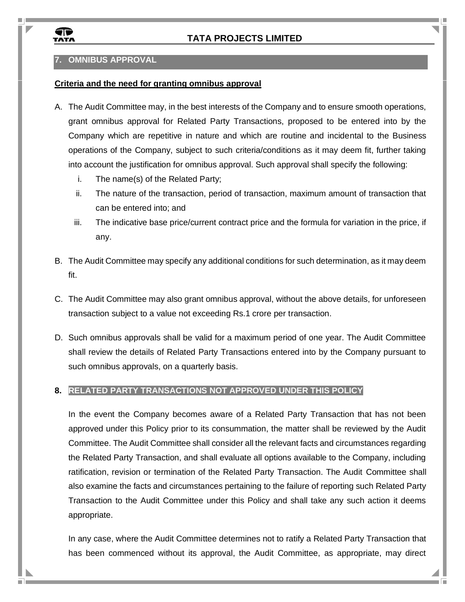

# **7. OMNIBUS APPROVAL**

#### **Criteria and the need for granting omnibus approval**

- A. The Audit Committee may, in the best interests of the Company and to ensure smooth operations, grant omnibus approval for Related Party Transactions, proposed to be entered into by the Company which are repetitive in nature and which are routine and incidental to the Business operations of the Company, subject to such criteria/conditions as it may deem fit, further taking into account the justification for omnibus approval. Such approval shall specify the following:
	- i. The name(s) of the Related Party;
	- ii. The nature of the transaction, period of transaction, maximum amount of transaction that can be entered into; and
	- iii. The indicative base price/current contract price and the formula for variation in the price, if any.
- B. The Audit Committee may specify any additional conditions for such determination, as it may deem fit.
- C. The Audit Committee may also grant omnibus approval, without the above details, for unforeseen transaction subject to a value not exceeding Rs.1 crore per transaction.
- D. Such omnibus approvals shall be valid for a maximum period of one year. The Audit Committee shall review the details of Related Party Transactions entered into by the Company pursuant to such omnibus approvals, on a quarterly basis.

#### **8. RELATED PARTY TRANSACTIONS NOT APPROVED UNDER THIS POLICY**

In the event the Company becomes aware of a Related Party Transaction that has not been approved under this Policy prior to its consummation, the matter shall be reviewed by the Audit Committee. The Audit Committee shall consider all the relevant facts and circumstances regarding the Related Party Transaction, and shall evaluate all options available to the Company, including ratification, revision or termination of the Related Party Transaction. The Audit Committee shall also examine the facts and circumstances pertaining to the failure of reporting such Related Party Transaction to the Audit Committee under this Policy and shall take any such action it deems appropriate.

In any case, where the Audit Committee determines not to ratify a Related Party Transaction that has been commenced without its approval, the Audit Committee, as appropriate, may direct